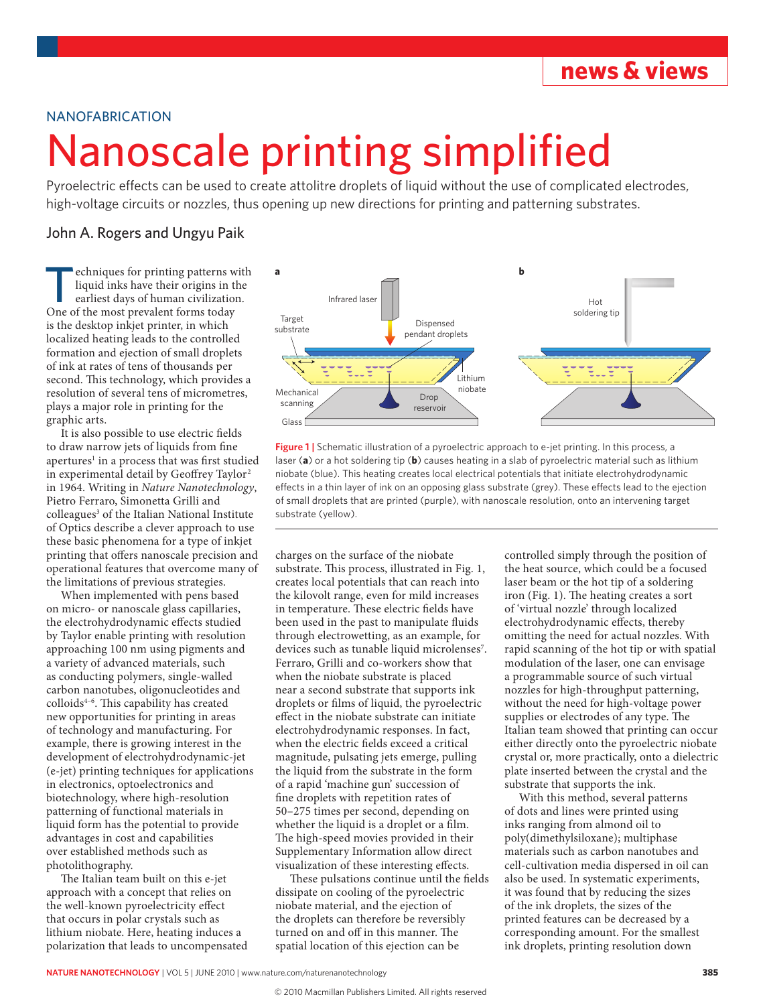# **news & views**

#### NANOFABRICATION

# Nanoscale printing simplified

Pyroelectric effects can be used to create attolitre droplets of liquid without the use of complicated electrodes, high-voltage circuits or nozzles, thus opening up new directions for printing and patterning substrates.

### John A. Rogers and Ungyu Paik

**echniques for printing patterns with** liquid inks have their origins in the earliest days of human civilization. One of the most prevalent forms today is the desktop inkjet printer, in which localized heating leads to the controlled formation and ejection of small droplets of ink at rates of tens of thousands per second. This technology, which provides a resolution of several tens of micrometres, plays a major role in printing for the graphic arts.

It is also possible to use electric fields to draw narrow jets of liquids from fine apertures<sup>1</sup> in a process that was first studied in experimental detail by Geoffrey Taylor<sup>2</sup> in 1964. Writing in *Nature Nanotechnology*, Pietro Ferraro, Simonetta Grilli and colleagues<sup>3</sup> of the Italian National Institute of Optics describe a clever approach to use these basic phenomena for a type of inkjet printing that offers nanoscale precision and operational features that overcome many of the limitations of previous strategies.

When implemented with pens based on micro- or nanoscale glass capillaries, the electrohydrodynamic effects studied by Taylor enable printing with resolution approaching 100 nm using pigments and a variety of advanced materials, such as conducting polymers, single-walled carbon nanotubes, oligonucleotides and colloids4–6. This capability has created new opportunities for printing in areas of technology and manufacturing. For example, there is growing interest in the development of electrohydrodynamic-jet (e-jet) printing techniques for applications in electronics, optoelectronics and biotechnology, where high-resolution patterning of functional materials in liquid form has the potential to provide advantages in cost and capabilities over established methods such as photolithography.

The Italian team built on this e-jet approach with a concept that relies on the well-known pyroelectricity effect that occurs in polar crystals such as lithium niobate. Here, heating induces a polarization that leads to uncompensated



Figure 1 | Schematic illustration of a pyroelectric approach to e-jet printing. In this process, a laser (**a**) or a hot soldering tip (**b**) causes heating in a slab of pyroelectric material such as lithium niobate (blue). This heating creates local electrical potentials that initiate electrohydrodynamic effects in a thin layer of ink on an opposing glass substrate (grey). These effects lead to the ejection of small droplets that are printed (purple), with nanoscale resolution, onto an intervening target substrate (yellow).

charges on the surface of the niobate substrate. This process, illustrated in Fig. 1, creates local potentials that can reach into the kilovolt range, even for mild increases in temperature. These electric fields have been used in the past to manipulate fluids through electrowetting, as an example, for devices such as tunable liquid microlenses<sup>7</sup>. Ferraro, Grilli and co-workers show that when the niobate substrate is placed near a second substrate that supports ink droplets or films of liquid, the pyroelectric effect in the niobate substrate can initiate electrohydrodynamic responses. In fact, when the electric fields exceed a critical magnitude, pulsating jets emerge, pulling the liquid from the substrate in the form of a rapid 'machine gun' succession of fine droplets with repetition rates of 50–275 times per second, depending on whether the liquid is a droplet or a film. The high-speed movies provided in their Supplementary Information allow direct visualization of these interesting effects.

These pulsations continue until the fields dissipate on cooling of the pyroelectric niobate material, and the ejection of the droplets can therefore be reversibly turned on and off in this manner. The spatial location of this ejection can be

controlled simply through the position of the heat source, which could be a focused laser beam or the hot tip of a soldering iron (Fig. 1). The heating creates a sort of 'virtual nozzle' through localized electrohydrodynamic effects, thereby omitting the need for actual nozzles. With rapid scanning of the hot tip or with spatial modulation of the laser, one can envisage a programmable source of such virtual nozzles for high-throughput patterning, without the need for high-voltage power supplies or electrodes of any type. The Italian team showed that printing can occur either directly onto the pyroelectric niobate crystal or, more practically, onto a dielectric plate inserted between the crystal and the substrate that supports the ink.

With this method, several patterns of dots and lines were printed using inks ranging from almond oil to poly(dimethylsiloxane); multiphase materials such as carbon nanotubes and cell-cultivation media dispersed in oil can also be used. In systematic experiments, it was found that by reducing the sizes of the ink droplets, the sizes of the printed features can be decreased by a corresponding amount. For the smallest ink droplets, printing resolution down